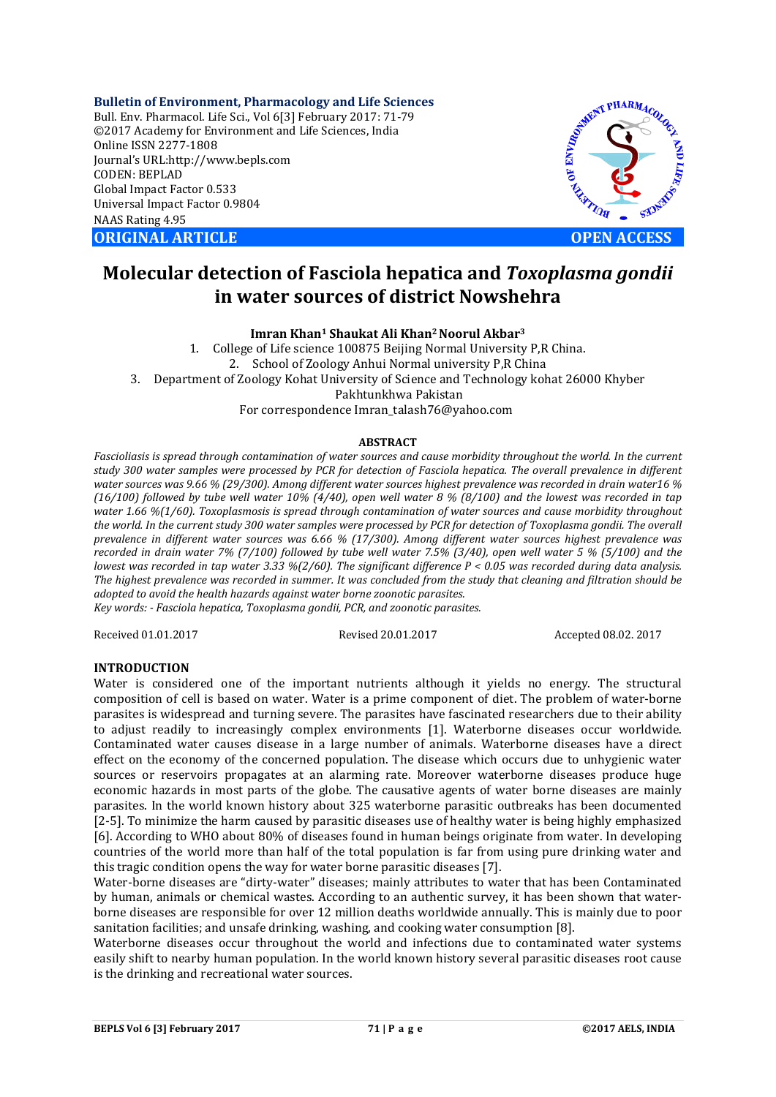**Bulletin of Environment, Pharmacology and Life Sciences** Bull. Env. Pharmacol. Life Sci., Vol 6[3] February 2017: 71-79 ©2017 Academy for Environment and Life Sciences, India Online ISSN 2277-1808 Journal's URL:http://www.bepls.com CODEN: BEPLAD Global Impact Factor 0.533 Universal Impact Factor 0.9804 NAAS Rating 4.95 **ORIGINAL ARTICLE OPEN ACCESS** 



# **Molecular detection of Fasciola hepatica and** *Toxoplasma gondii* **in water sources of district Nowshehra**

**Imran Khan1 Shaukat Ali Khan2 Noorul Akbar3**

1. College of Life science 100875 Beijing Normal University P,R China. 2. School of Zoology Anhui Normal university P,R China 3. Department of Zoology Kohat University of Science and Technology kohat 26000 Khyber Pakhtunkhwa Pakistan For correspondence Imran\_talash76@yahoo.com

## **ABSTRACT**

*Fascioliasis is spread through contamination of water sources and cause morbidity throughout the world. In the current study 300 water samples were processed by PCR for detection of Fasciola hepatica. The overall prevalence in different water sources was 9.66 % (29/300). Among different water sources highest prevalence was recorded in drain water16 % (16/100) followed by tube well water 10% (4/40), open well water 8 % (8/100) and the lowest was recorded in tap water 1.66 %(1/60). Toxoplasmosis is spread through contamination of water sources and cause morbidity throughout the world. In the current study 300 water samples were processed by PCR for detection of Toxoplasma gondii. The overall prevalence in different water sources was 6.66 % (17/300). Among different water sources highest prevalence was recorded in drain water 7% (7/100) followed by tube well water 7.5% (3/40), open well water 5 % (5/100) and the lowest was recorded in tap water 3.33 %(2/60). The significant difference P < 0.05 was recorded during data analysis. The highest prevalence was recorded in summer. It was concluded from the study that cleaning and filtration should be adopted to avoid the health hazards against water borne zoonotic parasites.*

*Key words: - Fasciola hepatica, Toxoplasma gondii, PCR, and zoonotic parasites.* 

Received 01.01.2017 Revised 20.01.2017 Accepted 08.02. 2017

# **INTRODUCTION**

Water is considered one of the important nutrients although it yields no energy. The structural composition of cell is based on water. Water is a prime component of diet. The problem of water-borne parasites is widespread and turning severe. The parasites have fascinated researchers due to their ability to adjust readily to increasingly complex environments [1]. Waterborne diseases occur worldwide. Contaminated water causes disease in a large number of animals. Waterborne diseases have a direct effect on the economy of the concerned population. The disease which occurs due to unhygienic water sources or reservoirs propagates at an alarming rate. Moreover waterborne diseases produce huge economic hazards in most parts of the globe. The causative agents of water borne diseases are mainly parasites. In the world known history about 325 waterborne parasitic outbreaks has been documented [2-5]. To minimize the harm caused by parasitic diseases use of healthy water is being highly emphasized [6]. According to WHO about 80% of diseases found in human beings originate from water. In developing countries of the world more than half of the total population is far from using pure drinking water and this tragic condition opens the way for water borne parasitic diseases [7].

Water-borne diseases are "dirty-water" diseases; mainly attributes to water that has been Contaminated by human, animals or chemical wastes. According to an authentic survey, it has been shown that waterborne diseases are responsible for over 12 million deaths worldwide annually. This is mainly due to poor sanitation facilities; and unsafe drinking, washing, and cooking water consumption [8].

Waterborne diseases occur throughout the world and infections due to contaminated water systems easily shift to nearby human population. In the world known history several parasitic diseases root cause is the drinking and recreational water sources.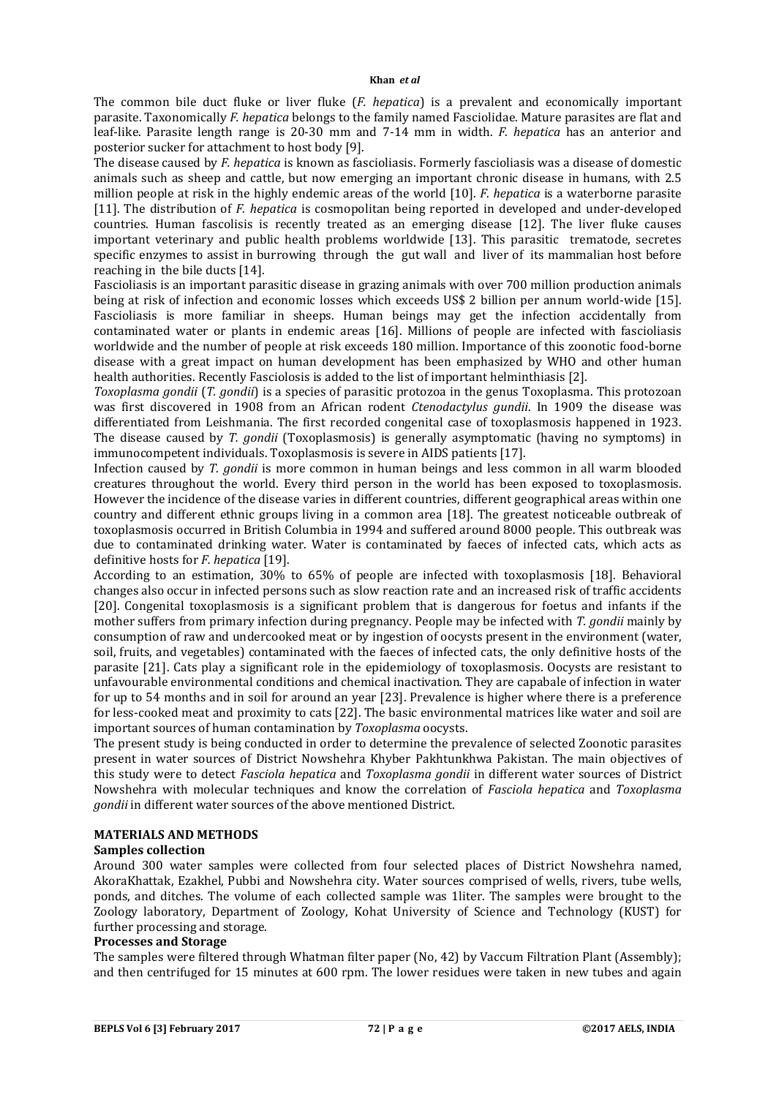The common bile duct fluke or liver fluke (*F. hepatica*) is a prevalent and economically important parasite. Taxonomically *F. hepatica* belongs to the family named Fasciolidae. Mature parasites are flat and leaf-like. Parasite length range is 20-30 mm and 7-14 mm in width. *F. hepatica* has an anterior and posterior sucker for attachment to host body [9].

The disease caused by *F. hepatica* is known as fascioliasis. Formerly fascioliasis was a disease of domestic animals such as sheep and cattle, but now emerging an important chronic disease in humans, with 2.5 million people at risk in the highly endemic areas of the world [10]. *F. hepatica* is a waterborne parasite [11]. The distribution of *F. hepatica* is cosmopolitan being reported in developed and under-developed countries. Human fascolisis is recently treated as an emerging disease [12]. The liver fluke causes important veterinary and public health problems worldwide [13]. This parasitic trematode, secretes specific enzymes to assist in burrowing through the gut wall and liver of its mammalian host before reaching in the bile ducts [14].

Fascioliasis is an important parasitic disease in grazing animals with over 700 million production animals being at risk of infection and economic losses which exceeds US\$ 2 billion per annum world-wide [15]. Fascioliasis is more familiar in sheeps. Human beings may get the infection accidentally from contaminated water or plants in endemic areas [16]. Millions of people are infected with fascioliasis worldwide and the number of people at risk exceeds 180 million. Importance of this zoonotic food-borne disease with a great impact on human development has been emphasized by WHO and other human health authorities. Recently Fasciolosis is added to the list of important helminthiasis [2].

*Toxoplasma gondii* (*T. gondii*) is a species of parasitic protozoa in the genus Toxoplasma. This protozoan was first discovered in 1908 from an African rodent *Ctenodactylus gundii*. In 1909 the disease was differentiated from Leishmania. The first recorded congenital case of toxoplasmosis happened in 1923. The disease caused by *T. gondii* (Toxoplasmosis) is generally asymptomatic (having no symptoms) in immunocompetent individuals. Toxoplasmosis is severe in AIDS patients [17].

Infection caused by *T. gondii* is more common in human beings and less common in all warm blooded creatures throughout the world. Every third person in the world has been exposed to toxoplasmosis. However the incidence of the disease varies in different countries, different geographical areas within one country and different ethnic groups living in a common area [18]. The greatest noticeable outbreak of toxoplasmosis occurred in British Columbia in 1994 and suffered around 8000 people. This outbreak was due to contaminated drinking water. Water is contaminated by faeces of infected cats, which acts as definitive hosts for *F. hepatica* [19].

According to an estimation, 30% to 65% of people are infected with toxoplasmosis [18]. Behavioral changes also occur in infected persons such as slow reaction rate and an increased risk of traffic accidents [20]. Congenital toxoplasmosis is a significant problem that is dangerous for foetus and infants if the mother suffers from primary infection during pregnancy. People may be infected with *T. gondii* mainly by consumption of raw and undercooked meat or by ingestion of oocysts present in the environment (water, soil, fruits, and vegetables) contaminated with the faeces of infected cats, the only definitive hosts of the parasite [21]. Cats play a significant role in the epidemiology of toxoplasmosis. Oocysts are resistant to unfavourable environmental conditions and chemical inactivation. They are capabale of infection in water for up to 54 months and in soil for around an year [23]. Prevalence is higher where there is a preference for less-cooked meat and proximity to cats [22]. The basic environmental matrices like water and soil are important sources of human contamination by *Toxoplasma* oocysts.

The present study is being conducted in order to determine the prevalence of selected Zoonotic parasites present in water sources of District Nowshehra Khyber Pakhtunkhwa Pakistan. The main objectives of this study were to detect *Fasciola hepatica* and *Toxoplasma gondii* in different water sources of District Nowshehra with molecular techniques and know the correlation of *Fasciola hepatica* and *Toxoplasma gondii* in different water sources of the above mentioned District.

## **MATERIALS AND METHODS**

#### **Samples collection**

Around 300 water samples were collected from four selected places of District Nowshehra named, AkoraKhattak, Ezakhel, Pubbi and Nowshehra city. Water sources comprised of wells, rivers, tube wells, ponds, and ditches. The volume of each collected sample was 1liter. The samples were brought to the Zoology laboratory, Department of Zoology, Kohat University of Science and Technology (KUST) for further processing and storage.

## **Processes and Storage**

The samples were filtered through Whatman filter paper (No, 42) by Vaccum Filtration Plant (Assembly); and then centrifuged for 15 minutes at 600 rpm. The lower residues were taken in new tubes and again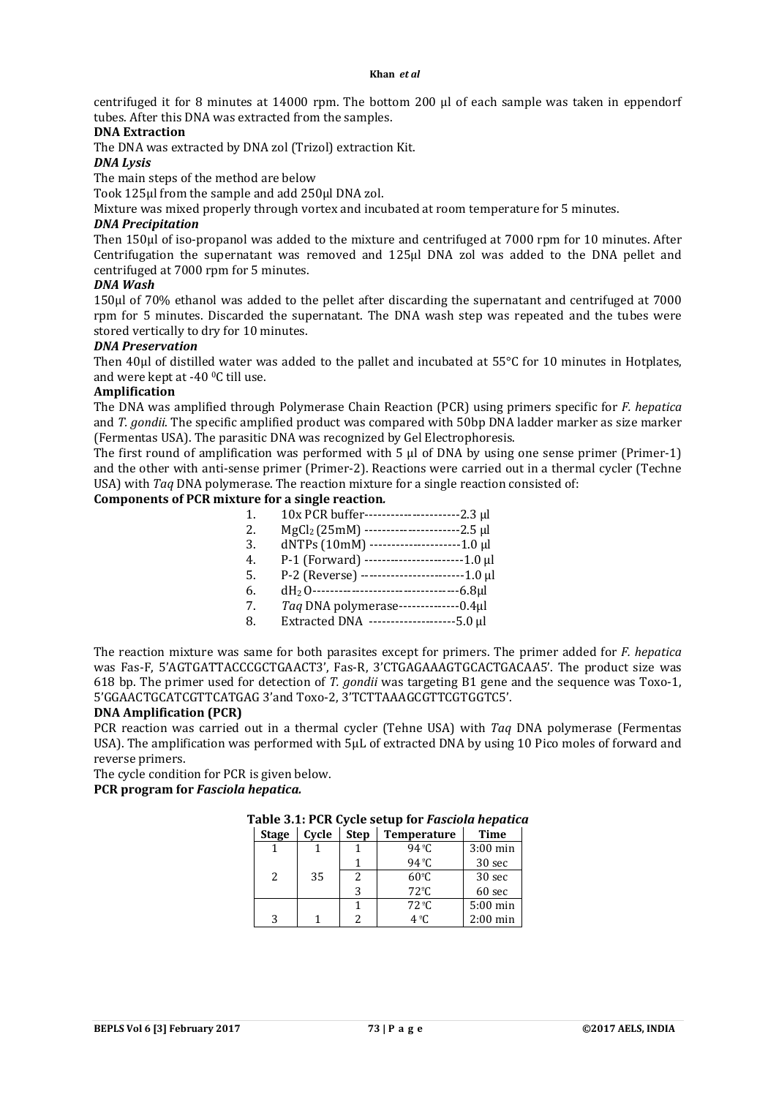centrifuged it for 8 minutes at 14000 rpm. The bottom 200 µl of each sample was taken in eppendorf tubes. After this DNA was extracted from the samples.

## **DNA Extraction**

The DNA was extracted by DNA zol (Trizol) extraction Kit.

*DNA Lysis*

The main steps of the method are below

Took 125μl from the sample and add 250μl DNA zol.

Mixture was mixed properly through vortex and incubated at room temperature for 5 minutes.

#### *DNA Precipitation*

Then 150μl of iso-propanol was added to the mixture and centrifuged at 7000 rpm for 10 minutes. After Centrifugation the supernatant was removed and 125μl DNA zol was added to the DNA pellet and centrifuged at 7000 rpm for 5 minutes.

## *DNA Wash*

150μl of 70% ethanol was added to the pellet after discarding the supernatant and centrifuged at 7000 rpm for 5 minutes. Discarded the supernatant. The DNA wash step was repeated and the tubes were stored vertically to dry for 10 minutes.

## *DNA Preservation*

Then 40μl of distilled water was added to the pallet and incubated at 55°C for 10 minutes in Hotplates, and were kept at -40 0C till use.

## **Amplification**

The DNA was amplified through Polymerase Chain Reaction (PCR) using primers specific for *F. hepatica* and *T. gondii*. The specific amplified product was compared with 50bp DNA ladder marker as size marker (Fermentas USA). The parasitic DNA was recognized by Gel Electrophoresis.

The first round of amplification was performed with 5 µ of DNA by using one sense primer (Primer-1) and the other with anti-sense primer (Primer-2). Reactions were carried out in a thermal cycler (Techne USA) with *Taq* DNA polymerase. The reaction mixture for a single reaction consisted of:

#### **Components of PCR mixture for a single reaction***.*

|    | $10x$ PCR buffer----------------------2.3 µ |  |
|----|---------------------------------------------|--|
| 2. | $MgCl2(25mM)$ ----------------------2.5 µl  |  |

- 3. dNTPs (10mM) ---------------------1.0 µl
- 4. P-1 (Forward) -----------------------1.0 µl
- 5. P-2 (Reverse) ------------------------1.0 µl
- 6. dH2 O----------------------------------6.8µl
- 7. *Taq* DNA polymerase--------------0.4µl
- 8. Extracted DNA --------------------5.0 µl

The reaction mixture was same for both parasites except for primers. The primer added for *F. hepatica* was Fas-F, 5'AGTGATTACCCGCTGAACT3', Fas-R, 3'CTGAGAAAGTGCACTGACAA5'. The product size was 618 bp. The primer used for detection of *T. gondii* was targeting B1 gene and the sequence was Toxo-1, 5'GGAACTGCATCGTTCATGAG 3'and Toxo-2, 3'TCTTAAAGCGTTCGTGGTC5'.

#### **DNA Amplification (PCR)**

PCR reaction was carried out in a thermal cycler (Tehne USA) with *Taq* DNA polymerase (Fermentas USA). The amplification was performed with 5µL of extracted DNA by using 10 Pico moles of forward and reverse primers.

The cycle condition for PCR is given below.

**PCR program for** *Fasciola hepatica.*

## **Table 3.1: PCR Cycle setup for** *Fasciola hepatica*

| <b>Stage</b>  | Cycle | <b>Step</b> | <b>Temperature</b> | <b>Time</b> |
|---------------|-------|-------------|--------------------|-------------|
|               |       |             | 94 $^{\circ}$ C    | $3:00$ min  |
|               |       |             | 94 $°C$            | 30 sec      |
| $\mathcal{L}$ | 35    | 2           | $60^{\circ}$ C     | 30 sec      |
|               |       | 3           | $72^{\circ}$ C     | 60 sec      |
|               |       |             | $72^{\circ}$ C     | $5:00$ min  |
| २             |       |             | $4^{\circ}$ C      | $2:00$ min  |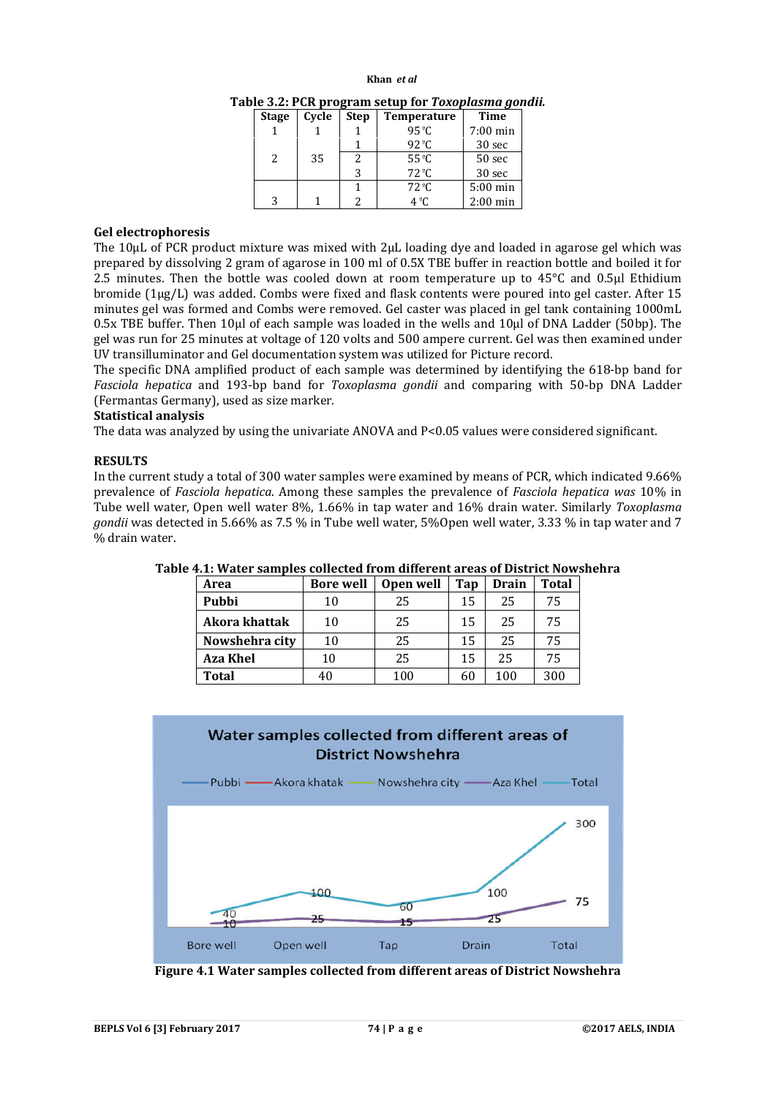#### **Khan** *et al*

**Table 3.2: PCR program setup for** *Toxoplasma gondii.*

| <b>Stage</b>  | Cycle | <b>Step</b> | <b>Temperature</b>      | Time       |
|---------------|-------|-------------|-------------------------|------------|
|               |       |             | 95 $°C$                 | $7:00$ min |
|               |       |             | $92^{\circ}$ C          | 30 sec     |
| $\mathcal{L}$ | 35    |             | $55^{\circ}$ C          | 50 sec     |
|               |       |             | 72 °C                   | 30 sec     |
|               |       |             | $72 \text{ }^{\circ}$ C | $5:00$ min |
| 3             |       |             | $4^{\circ}$ C           | $2:00$ min |

#### **Gel electrophoresis**

The 10µL of PCR product mixture was mixed with 2µL loading dye and loaded in agarose gel which was prepared by dissolving 2 gram of agarose in 100 ml of 0.5X TBE buffer in reaction bottle and boiled it for 2.5 minutes. Then the bottle was cooled down at room temperature up to 45°C and 0.5µl Ethidium bromide (1µg/L) was added. Combs were fixed and flask contents were poured into gel caster. After 15 minutes gel was formed and Combs were removed. Gel caster was placed in gel tank containing 1000mL 0.5x TBE buffer. Then 10µl of each sample was loaded in the wells and 10µl of DNA Ladder (50bp). The gel was run for 25 minutes at voltage of 120 volts and 500 ampere current. Gel was then examined under UV transilluminator and Gel documentation system was utilized for Picture record.

The specific DNA amplified product of each sample was determined by identifying the 618-bp band for *Fasciola hepatica* and 193-bp band for *Toxoplasma gondii* and comparing with 50-bp DNA Ladder (Fermantas Germany), used as size marker.

#### **Statistical analysis**

The data was analyzed by using the univariate ANOVA and P<0.05 values were considered significant.

#### **RESULTS**

In the current study a total of 300 water samples were examined by means of PCR, which indicated 9.66% prevalence of *Fasciola hepatica*. Among these samples the prevalence of *Fasciola hepatica was* 10% in Tube well water, Open well water 8%, 1.66% in tap water and 16% drain water. Similarly *Toxoplasma gondii* was detected in 5.66% as 7.5 % in Tube well water, 5%Open well water, 3.33 % in tap water and 7 % drain water.

| Area            | <b>Bore well</b> | Open well | Tap | Drain | <b>Total</b> |
|-----------------|------------------|-----------|-----|-------|--------------|
| Pubbi           | 10               | 25        | 15  | 25    | 75           |
| Akora khattak   | 10               | 25        | 15  | 25    | 75           |
| Nowshehra city  | 10               | 25        | 15  | 25    | 75           |
| <b>Aza Khel</b> | 10               | 25        | 15  | 25    | 75           |
| Total           |                  | 100       | 60  | 100   | 300          |

**Table 4.1: Water samples collected from different areas of District Nowshehra**



**Figure 4.1 Water samples collected from different areas of District Nowshehra**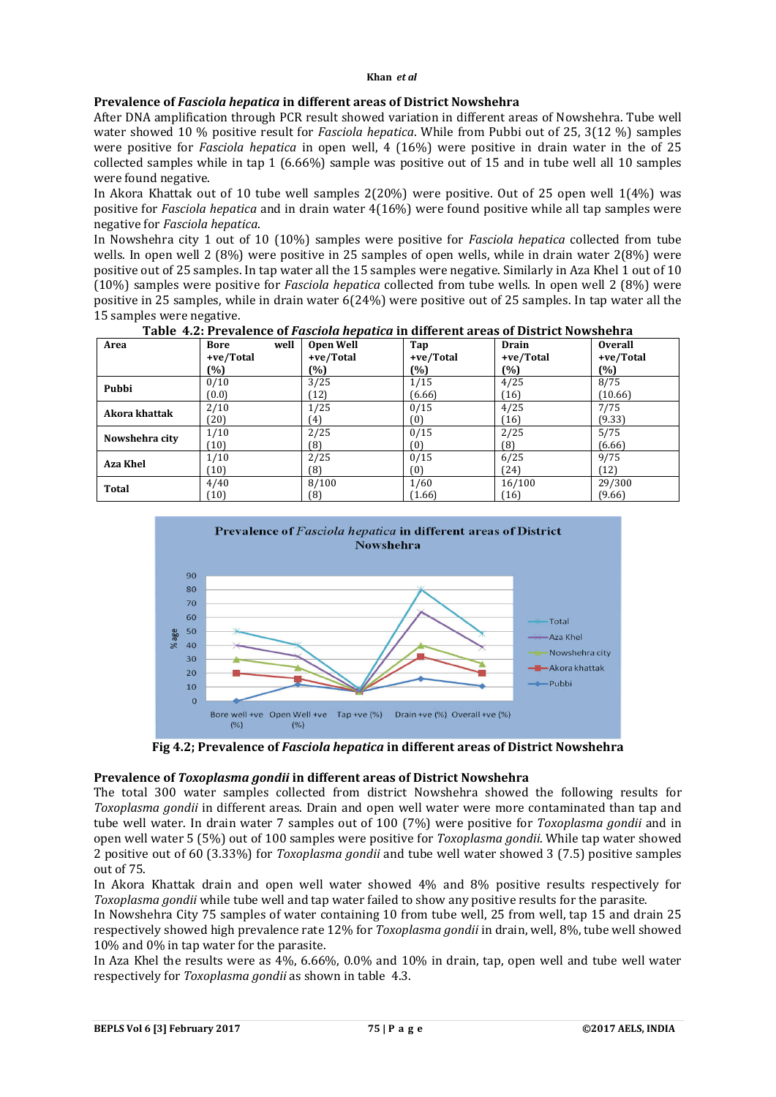# **Prevalence of** *Fasciola hepatica* **in different areas of District Nowshehra**

After DNA amplification through PCR result showed variation in different areas of Nowshehra. Tube well water showed 10 % positive result for *Fasciola hepatica*. While from Pubbi out of 25, 3(12 %) samples were positive for *Fasciola hepatica* in open well, 4 (16%) were positive in drain water in the of 25 collected samples while in tap 1 (6.66%) sample was positive out of 15 and in tube well all 10 samples were found negative.

In Akora Khattak out of 10 tube well samples 2(20%) were positive. Out of 25 open well 1(4%) was positive for *Fasciola hepatica* and in drain water 4(16%) were found positive while all tap samples were negative for *Fasciola hepatica*.

In Nowshehra city 1 out of 10 (10%) samples were positive for *Fasciola hepatica* collected from tube wells. In open well 2 (8%) were positive in 25 samples of open wells, while in drain water 2(8%) were positive out of 25 samples. In tap water all the 15 samples were negative. Similarly in Aza Khel 1 out of 10 (10%) samples were positive for *Fasciola hepatica* collected from tube wells. In open well 2 (8%) were positive in 25 samples, while in drain water 6(24%) were positive out of 25 samples. In tap water all the 15 samples were negative.

| Area            | well<br><b>Bore</b> | <b>Open Well</b> | Tap       | Drain     | <b>Overall</b> |
|-----------------|---------------------|------------------|-----------|-----------|----------------|
|                 | +ve/Total           | +ve/Total        | +ve/Total | +ve/Total | +ve/Total      |
|                 | (%)                 | $(\%)$           | (%)       | (%)       | (%)            |
| Pubbi           | 0/10                | 3/25             | 1/15      | 4/25      | 8/75           |
|                 | (0.0)               | (12)             | (6.66)    | 16        | (10.66)        |
| Akora khattak   | 2/10                | 1/25             | 0/15      | 4/25      | 7/75           |
|                 | (20)                | (4)              | (0)       | 16        | (9.33)         |
| Nowshehra city  | 1/10                | 2/25             | 0/15      | 2/25      | 5/75           |
|                 | (10)                | (8)              | (0)       | (8)       | (6.66)         |
| <b>Aza Khel</b> | 1/10                | 2/25             | 0/15      | 6/25      | 9/75           |
|                 | (10)                | (8)              | (0)       | (24)      | ้ 12)          |
| <b>Total</b>    | 4/40                | 8/100            | 1/60      | 16/100    | 29/300         |
|                 | (10)                | (8)              | (1.66)    | 16        | (9.66)         |

**Table 4.2: Prevalence of** *Fasciola hepatica* **in different areas of District Nowshehra**



**Fig 4.2; Prevalence of** *Fasciola hepatica* **in different areas of District Nowshehra**

## **Prevalence of** *Toxoplasma gondii* **in different areas of District Nowshehra**

The total 300 water samples collected from district Nowshehra showed the following results for *Toxoplasma gondii* in different areas. Drain and open well water were more contaminated than tap and tube well water. In drain water 7 samples out of 100 (7%) were positive for *Toxoplasma gondii* and in open well water 5 (5%) out of 100 samples were positive for *Toxoplasma gondii*. While tap water showed 2 positive out of 60 (3.33%) for *Toxoplasma gondii* and tube well water showed 3 (7.5) positive samples out of 75.

In Akora Khattak drain and open well water showed 4% and 8% positive results respectively for *Toxoplasma gondii* while tube well and tap water failed to show any positive results for the parasite.

In Nowshehra City 75 samples of water containing 10 from tube well, 25 from well, tap 15 and drain 25 respectively showed high prevalence rate 12% for *Toxoplasma gondii* in drain, well, 8%, tube well showed 10% and 0% in tap water for the parasite.

In Aza Khel the results were as 4%, 6.66%, 0.0% and 10% in drain, tap, open well and tube well water respectively for *Toxoplasma gondii* as shown in table 4.3.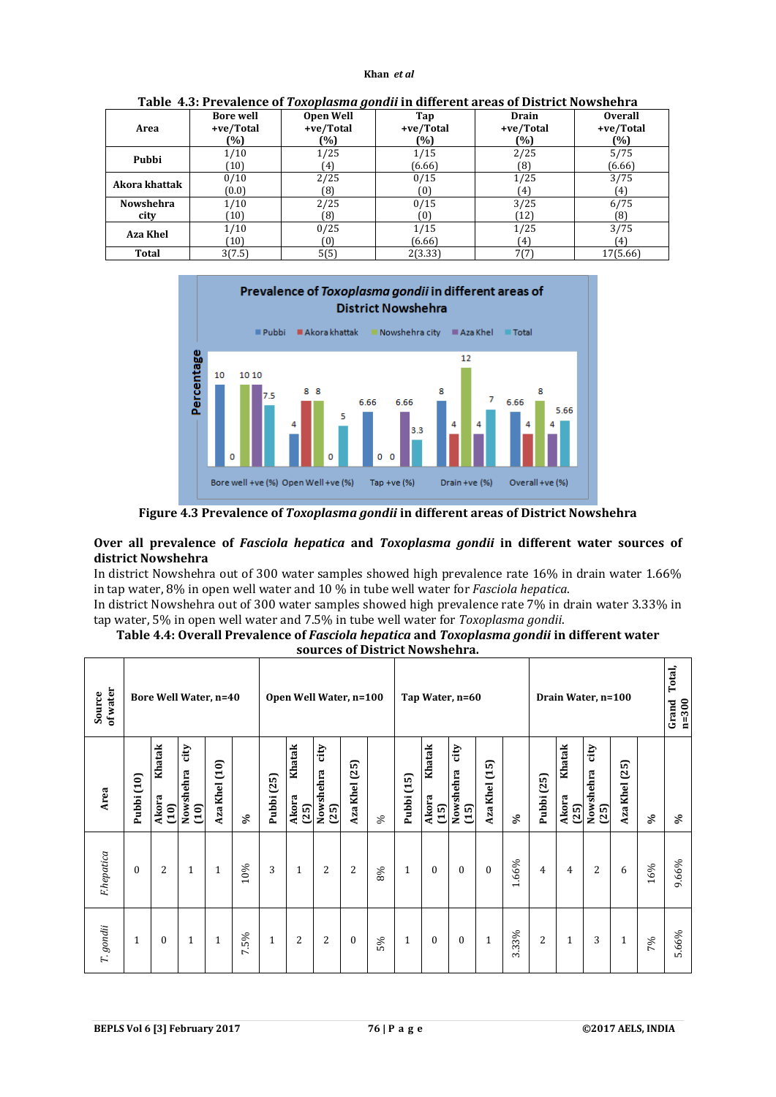| Area            | <b>Bore well</b> | <b>Open Well</b> | Tap            | Drain       | <b>Overall</b> |
|-----------------|------------------|------------------|----------------|-------------|----------------|
|                 | +ve/Total        | +ve/Total        | +ve/Total      | +ve/Total   | +ve/Total      |
|                 | (%)              | (%)              | [%]            | (%)         | (%)            |
| Pubbi           | 1/10             | 1/25             | 1/15           | 2/25        | 5/75           |
|                 | (10)             | 4)               | (6.66)         | (8)         | (6.66)         |
| Akora khattak   | 0/10             | 2/25             | 0/15           | 1/25        | 3/75           |
|                 | (0.0)            | (8               | (0)            | 41          | (4)            |
| Nowshehra       | 1/10             | 2/25             | 0/15           | 3/25        | 6/75           |
| city            | (10)             | (8)              | (0)            | (12)        | (8)            |
| <b>Aza Khel</b> | 1/10<br>(10)     | 0/25             | 1/15<br>(6.66) | 1/25<br>(4) | 3/75<br>(4)    |
| Total           | 3(7.5)           | 5(5)             | 2(3.33)        | 7(7)        | 17(5.66)       |

**Table 4.3: Prevalence of** *Toxoplasma gondii* **in different areas of District Nowshehra**



**Figure 4.3 Prevalence of** *Toxoplasma gondii* **in different areas of District Nowshehra**

## **Over all prevalence of** *Fasciola hepatica* **and** *Toxoplasma gondii* **in different water sources of district Nowshehra**

In district Nowshehra out of 300 water samples showed high prevalence rate 16% in drain water 1.66% in tap water, 8% in open well water and 10 % in tube well water for *Fasciola hepatica*.

In district Nowshehra out of 300 water samples showed high prevalence rate 7% in drain water 3.33% in tap water, 5% in open well water and 7.5% in tube well water for *Toxoplasma gondii*.

| Table 4.4: Overall Prevalence of Fasciola hepatica and Toxoplasma gondii in different water |
|---------------------------------------------------------------------------------------------|
| sources of District Nowshehra.                                                              |

| F.hepatica       | Area                                                     | of water<br>Source           |
|------------------|----------------------------------------------------------|------------------------------|
| $\theta$         | Pubbi (10)                                               |                              |
| 2                | Khatak<br>Akora<br>$\overline{10}$                       |                              |
| $\mathbf{1}$     | $\dot{\rm u}$<br>Nowshehra<br>$\overline{10}$            | <b>Bore Well Water, n=40</b> |
| $\mathbf{1}$     | Aza Khel (10)                                            |                              |
| 10%              | $\mathcal{S}$                                            |                              |
| 3                | Pubbi (25)                                               |                              |
| $\mathbf{1}$     | Khatak<br>Akora<br>(25)                                  |                              |
| 2                | $_{\rm{city}}$<br>Nowshehra<br>$(25)$                    | Open Well Water, n=100       |
| 2                | $(25)$<br>Aza Khel                                       |                              |
| 8%               | $\%$                                                     |                              |
| $\mathbf{1}$     | Pubbi (15)                                               |                              |
| $\boldsymbol{0}$ | Khatak<br>Akora<br>$\begin{array}{c}\n 15\n \end{array}$ | Tap Water, n=60              |
| $\boldsymbol{0}$ | city<br>Nowshehra<br>$(15)$                              |                              |
| $\boldsymbol{0}$ | $\begin{array}{c} 15 \end{array}$<br>Aza Khel            |                              |
| 1.66%            | Š,                                                       |                              |
| $\overline{4}$   | Pubbi (25)                                               |                              |
| 4                | Khatak<br>Akora<br>(25)                                  |                              |
| $\overline{2}$   | $\dot{q}$<br>Nowshehra<br>$(25)$                         | Drain Water, n=100           |
| 6                | (25)<br>Aza Khel                                         |                              |
| 16%              | ళ                                                        |                              |
| 9.66%            | వ్                                                       | Total,<br>$n=300$<br>Grand   |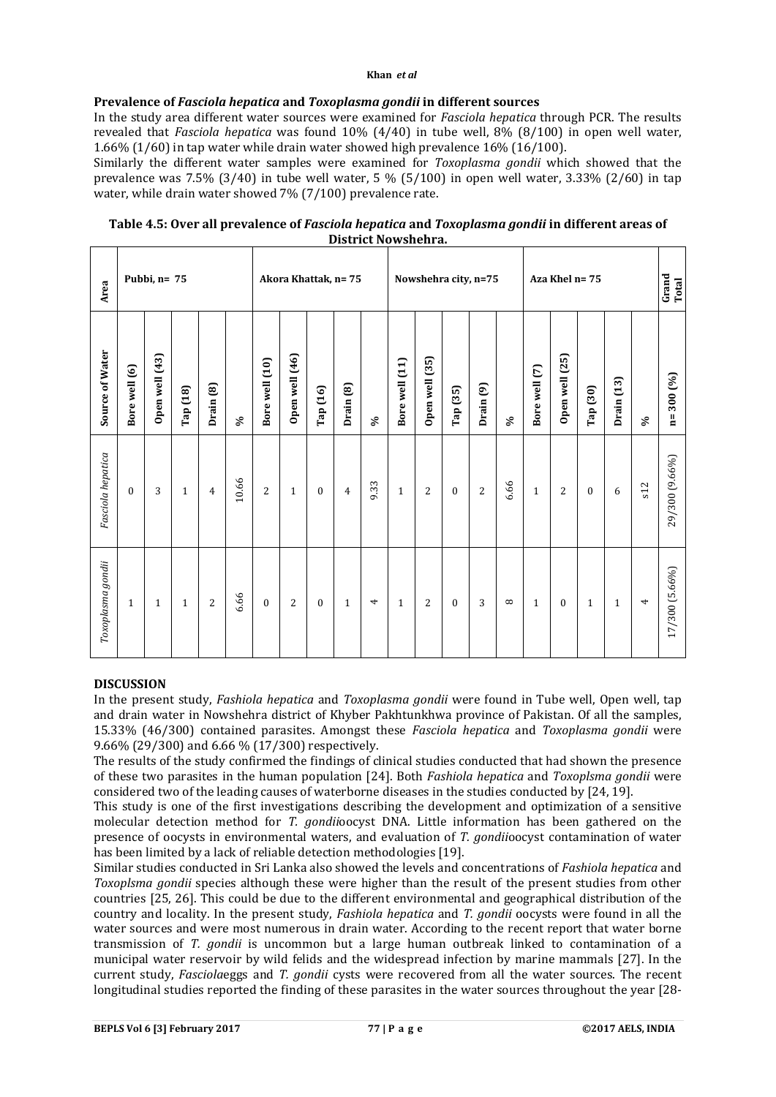#### **Khan** *et al*

## **Prevalence of** *Fasciola hepatica* **and** *Toxoplasma gondii* **in different sources**

In the study area different water sources were examined for *Fasciola hepatica* through PCR. The results revealed that *Fasciola hepatica* was found 10% (4/40) in tube well, 8% (8/100) in open well water, 1.66% (1/60) in tap water while drain water showed high prevalence 16% (16/100).

Similarly the different water samples were examined for *Toxoplasma gondii* which showed that the prevalence was 7.5% (3/40) in tube well water, 5 % (5/100) in open well water, 3.33% (2/60) in tap water, while drain water showed 7% (7/100) prevalence rate.

| Table 4.5: Over all prevalence of Fasciola hepatica and Toxoplasma gondii in different areas of |
|-------------------------------------------------------------------------------------------------|
| District Nowshehra.                                                                             |

| Area              |               | Pubbi, n= 75   |              |                      |               |                |                |              | Akora Khattak, n=75 |                          | Nowshehra city, n=75<br>Aza Khel n= 75 |                |              |                      |          |               |                | Grand<br>Total |              |     |                         |
|-------------------|---------------|----------------|--------------|----------------------|---------------|----------------|----------------|--------------|---------------------|--------------------------|----------------------------------------|----------------|--------------|----------------------|----------|---------------|----------------|----------------|--------------|-----|-------------------------|
| Source of Water   | Bore well (6) | Open well (43) | Tap (18)     | Drain <sub>(8)</sub> | $\mathcal{S}$ | Bore well (10) | Open well (46) | Tap (16)     | Drain (8)           | $\mathcal{S}$            | Bore well (11)                         | Open well (35) | Tap (35)     | Drain <sub>(9)</sub> | $\delta$ | Bore well (7) | Open well (25) | Tap (30)       | Drain (13)   | S,  | 300 (%)<br>$\mathbf{n}$ |
| Fasciola hepatica | $\Omega$      | 3              | $\mathbf{1}$ | 4                    | 10.66         | 2              | $\mathbf{1}$   | $\mathbf{0}$ | $\overline{4}$      | 9.33                     | $\mathbf{1}$                           | 2              | $\mathbf{0}$ | 2                    | 6.66     | $\mathbf{1}$  | 2              | $\Omega$       | 6            | s12 | 29/300 (9.66%)          |
| Toxoplasma gondii | $\mathbf{1}$  | $\mathbf{1}$   | $\mathbf{1}$ | 2                    | 6.66          | $\mathbf{0}$   | 2              | $\mathbf{0}$ | $\mathbf{1}$        | $\overline{\phantom{a}}$ | $\mathbf{1}$                           | 2              | $\mathbf{0}$ | 3                    | $\infty$ | $\mathbf{1}$  | $\mathbf{0}$   | $\mathbf{1}$   | $\mathbf{1}$ | 4   | 17/300 (5.66%)          |

## **DISCUSSION**

In the present study, *Fashiola hepatica* and *Toxoplasma gondii* were found in Tube well, Open well, tap and drain water in Nowshehra district of Khyber Pakhtunkhwa province of Pakistan. Of all the samples, 15.33% (46/300) contained parasites. Amongst these *Fasciola hepatica* and *Toxoplasma gondii* were 9.66% (29/300) and 6.66 % (17/300) respectively.

The results of the study confirmed the findings of clinical studies conducted that had shown the presence of these two parasites in the human population [24]. Both *Fashiola hepatica* and *Toxoplsma gondii* were considered two of the leading causes of waterborne diseases in the studies conducted by [24, 19].

This study is one of the first investigations describing the development and optimization of a sensitive molecular detection method for *T. gondii*oocyst DNA. Little information has been gathered on the presence of oocysts in environmental waters, and evaluation of *T. gondii*oocyst contamination of water has been limited by a lack of reliable detection methodologies [19].

Similar studies conducted in Sri Lanka also showed the levels and concentrations of *Fashiola hepatica* and *Toxoplsma gondii* species although these were higher than the result of the present studies from other countries [25, 26]. This could be due to the different environmental and geographical distribution of the country and locality. In the present study, *Fashiola hepatica* and *T. gondii* oocysts were found in all the water sources and were most numerous in drain water. According to the recent report that water borne transmission of *T. gondii* is uncommon but a large human outbreak linked to contamination of a municipal water reservoir by wild felids and the widespread infection by marine mammals [27]. In the current study, *Fasciola*eggs and *T. gondii* cysts were recovered from all the water sources. The recent longitudinal studies reported the finding of these parasites in the water sources throughout the year [28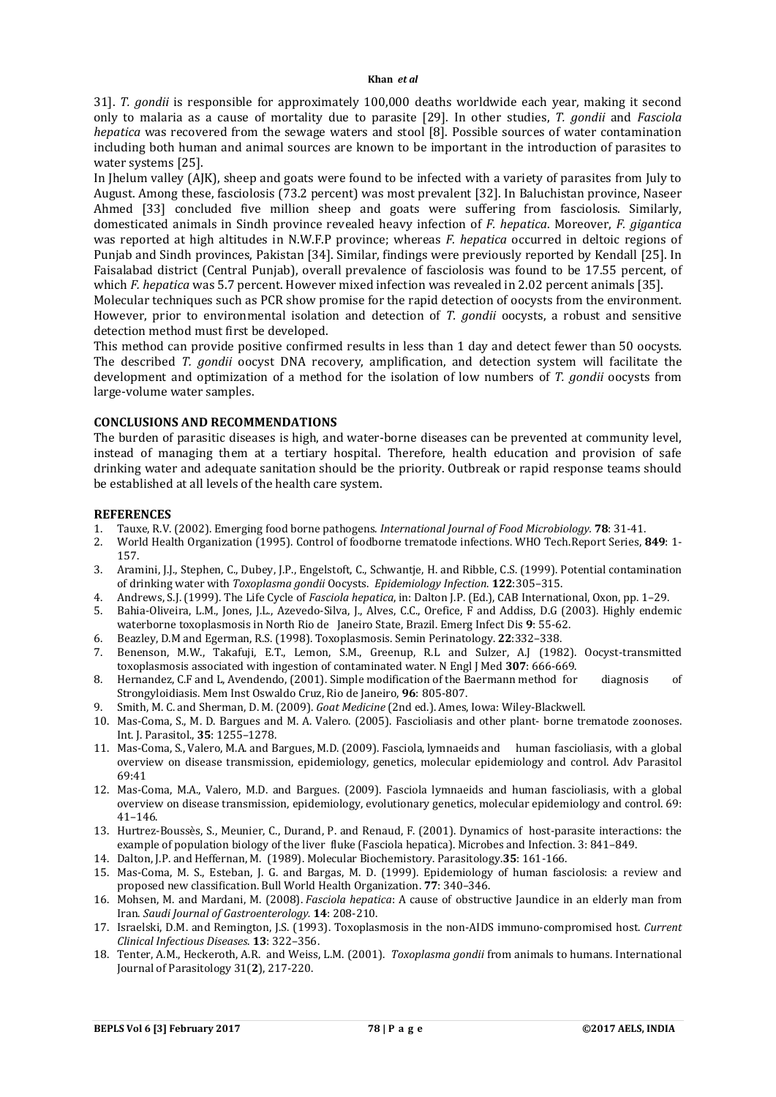31]. *T. gondii* is responsible for approximately 100,000 deaths worldwide each year, making it second only to malaria as a cause of mortality due to parasite [29]. In other studies, *T. gondii* and *Fasciola hepatica* was recovered from the sewage waters and stool [8]. Possible sources of water contamination including both human and animal sources are known to be important in the introduction of parasites to water systems [25].

In Jhelum valley (AJK), sheep and goats were found to be infected with a variety of parasites from July to August. Among these, fasciolosis (73.2 percent) was most prevalent [32]. In Baluchistan province, Naseer Ahmed [33] concluded five million sheep and goats were suffering from fasciolosis. Similarly, domesticated animals in Sindh province revealed heavy infection of *F. hepatica*. Moreover, *F. gigantica* was reported at high altitudes in N.W.F.P province; whereas *F. hepatica* occurred in deltoic regions of Punjab and Sindh provinces, Pakistan [34]. Similar, findings were previously reported by Kendall [25]. In Faisalabad district (Central Punjab), overall prevalence of fasciolosis was found to be 17.55 percent, of which *F. hepatica* was 5.7 percent. However mixed infection was revealed in 2.02 percent animals [35].

Molecular techniques such as PCR show promise for the rapid detection of oocysts from the environment. However, prior to environmental isolation and detection of *T. gondii* oocysts, a robust and sensitive detection method must first be developed.

This method can provide positive confirmed results in less than 1 day and detect fewer than 50 oocysts. The described *T. gondii* oocyst DNA recovery, amplification, and detection system will facilitate the development and optimization of a method for the isolation of low numbers of *T. gondii* oocysts from large-volume water samples.

#### **CONCLUSIONS AND RECOMMENDATIONS**

The burden of parasitic diseases is high, and water-borne diseases can be prevented at community level, instead of managing them at a tertiary hospital. Therefore, health education and provision of safe drinking water and adequate sanitation should be the priority. Outbreak or rapid response teams should be established at all levels of the health care system.

#### **REFERENCES**

- 1. Tauxe, R.V. (2002). Emerging food borne pathogens. *International Journal of Food Microbiology.* **78**: 31-41.
- 2. World Health Organization (1995). Control of foodborne trematode infections. WHO Tech.Report Series, **849**: 1- 157.
- 3. Aramini, J.J., Stephen, C., Dubey, J.P., Engelstoft, C., Schwantje, H. and Ribble, C.S. (1999). Potential contamination of drinking water with *Toxoplasma gondii* Oocysts. *Epidemiology Infection*. **122**:305–315.
- 4. Andrews, S.J. (1999). The Life Cycle of *Fasciola hepatica*, in: Dalton J.P. (Ed.), CAB International, Oxon, pp. 1–29.
- 5. Bahia-Oliveira, L.M., Jones, J.L., Azevedo-Silva, J., Alves, C.C., Orefice, F and Addiss, D.G (2003). Highly endemic waterborne toxoplasmosis in North Rio de Janeiro State, Brazil. Emerg Infect Dis **9**: 55-62.
- 6. Beazley, D.M and Egerman, R.S. (1998). Toxoplasmosis. Semin Perinatology. **22**:332–338.
- 7. Benenson, M.W., Takafuji, E.T., Lemon, S.M., Greenup, R.L and Sulzer, A.J (1982). Oocyst-transmitted toxoplasmosis associated with ingestion of contaminated water. N Engl J Med **307**: 666-669.
- 8. Hernandez, C.F and L, Avendendo, (2001). Simple modification of the Baermann method for diagnosis of Strongyloidiasis. Mem Inst Oswaldo Cruz, Rio de Janeiro, **96**: 805-807.
- 9. Smith, M. C. and Sherman, D. M. (2009). *Goat Medicine* (2nd ed.). Ames, Iowa: Wiley-Blackwell.
- 10. Mas-Coma, S., M. D. Bargues and M. A. Valero. (2005). Fascioliasis and other plant- borne trematode zoonoses. Int. J. Parasitol., **35**: 1255–1278.
- 11. Mas-Coma, S., Valero, M.A. and Bargues, M.D. (2009). Fasciola, lymnaeids and human fascioliasis, with a global overview on disease transmission, epidemiology, genetics, molecular epidemiology and control. Adv Parasitol 69:41
- 12. Mas-Coma, M.A., Valero, M.D. and Bargues. (2009). Fasciola lymnaeids and human fascioliasis, with a global overview on disease transmission, epidemiology, evolutionary genetics, molecular epidemiology and control. 69: 41–146.
- 13. Hurtrez-Boussès, S., Meunier, C., Durand, P. and Renaud, F. (2001). Dynamics of host-parasite interactions: the example of population biology of the liver fluke (Fasciola hepatica). Microbes and Infection. 3: 841–849.
- 14. Dalton, J.P. and Heffernan, M. (1989). Molecular Biochemistory. Parasitology.**35**: 161-166.
- 15. Mas-Coma, M. S., Esteban, J. G. and Bargas, M. D. (1999). Epidemiology of human fasciolosis: a review and proposed new classification. Bull World Health Organization. **77**: 340–346.
- 16. Mohsen, M. and Mardani, M. (2008). *Fasciola hepatica*: A cause of obstructive Jaundice in an elderly man from Iran. *Saudi Journal of Gastroenterology.* **14**: 208-210.
- 17. Israelski, D.M. and Remington, J.S. (1993). Toxoplasmosis in the non-AIDS immuno-compromised host. *Current Clinical Infectious Diseases*. **13**: 322–356.
- 18. Tenter, A.M., Heckeroth, A.R. and Weiss, L.M. (2001). *Toxoplasma gondii* from animals to humans. International Journal of Parasitology 31(**2**), 217-220.